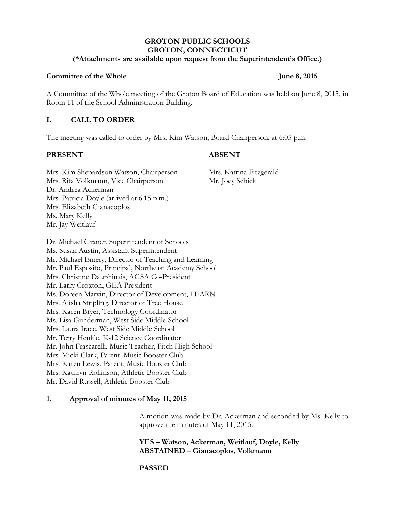# **GROTON PUBLIC SCHOOLS GROTON, CONNECTICUT**

#### **(\*Attachments are available upon request from the Superintendent's Office.)**

## **Committee of the Whole June 8, 2015**

A Committee of the Whole meeting of the Groton Board of Education was held on June 8, 2015, in Room 11 of the School Administration Building.

## **I. CALL TO ORDER**

The meeting was called to order by Mrs. Kim Watson, Board Chairperson, at 6:05 p.m.

## **PRESENT ABSENT**

Mrs. Kim Shepardson Watson, Chairperson Mrs. Katrina Fitzgerald Mrs. Rita Volkmann, Vice Chairperson Mr. Joey Schick Dr. Andrea Ackerman Mrs. Patricia Doyle (arrived at 6:15 p.m.) Mrs. Elizabeth Gianacoplos Ms. Mary Kelly Mr. Jay Weitlauf

Dr. Michael Graner, Superintendent of Schools Ms. Susan Austin, Assistant Superintendent Mr. Michael Emery, Director of Teaching and Learning Mr. Paul Esposito, Principal, Northeast Academy School Mrs. Christine Dauphinais, AGSA Co-President Mr. Larry Croxton, GEA President Ms. Doreen Marvin, Director of Development, LEARN Mrs. Alisha Stripling, Director of Tree House Mrs. Karen Bryer, Technology Coordinator Ms. Lisa Gunderman, West Side Middle School Mrs. Laura Irace, West Side Middle School Mr. Terry Henkle, K-12 Science Coordinator Mr. John Frascarelli, Music Teacher, Fitch High School Mrs. Micki Clark, Parent. Music Booster Club Mrs. Karen Lewis, Parent, Music Booster Club Mrs. Kathryn Rollinson, Athletic Booster Club Mr. David Russell, Athletic Booster Club

# **1. Approval of minutes of May 11, 2015**

A motion was made by Dr. Ackerman and seconded by Ms. Kelly to approve the minutes of May 11, 2015.

**YES – Watson, Ackerman, Weitlauf, Doyle, Kelly ABSTAINED – Gianacoplos, Volkmann**

# **PASSED**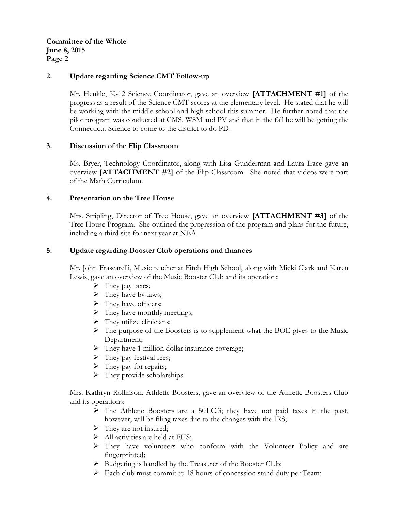**Committee of the Whole June 8, 2015 Page 2**

## **2. Update regarding Science CMT Follow-up**

Mr. Henkle, K-12 Science Coordinator, gave an overview **[ATTACHMENT #1]** of the progress as a result of the Science CMT scores at the elementary level. He stated that he will be working with the middle school and high school this summer. He further noted that the pilot program was conducted at CMS, WSM and PV and that in the fall he will be getting the Connecticut Science to come to the district to do PD.

## **3. Discussion of the Flip Classroom**

Ms. Bryer, Technology Coordinator, along with Lisa Gunderman and Laura Irace gave an overview **[ATTACHMENT #2]** of the Flip Classroom. She noted that videos were part of the Math Curriculum.

## **4. Presentation on the Tree House**

Mrs. Stripling, Director of Tree House, gave an overview **[ATTACHMENT #3]** of the Tree House Program. She outlined the progression of the program and plans for the future, including a third site for next year at NEA.

## **5. Update regarding Booster Club operations and finances**

Mr. John Frascarelli, Music teacher at Fitch High School, along with Micki Clark and Karen Lewis, gave an overview of the Music Booster Club and its operation:

- $\triangleright$  They pay taxes;
- $\triangleright$  They have by-laws;
- $\triangleright$  They have officers;
- $\triangleright$  They have monthly meetings;
- $\triangleright$  They utilize clinicians;
- $\triangleright$  The purpose of the Boosters is to supplement what the BOE gives to the Music Department;
- > They have 1 million dollar insurance coverage;
- $\triangleright$  They pay festival fees;
- $\triangleright$  They pay for repairs;
- $\triangleright$  They provide scholarships.

Mrs. Kathryn Rollinson, Athletic Boosters, gave an overview of the Athletic Boosters Club and its operations:

- $\triangleright$  The Athletic Boosters are a 501.C.3; they have not paid taxes in the past, however, will be filing taxes due to the changes with the IRS;
- $\triangleright$  They are not insured;
- $\triangleright$  All activities are held at FHS;
- They have volunteers who conform with the Volunteer Policy and are fingerprinted;
- $\triangleright$  Budgeting is handled by the Treasurer of the Booster Club;
- $\triangleright$  Each club must commit to 18 hours of concession stand duty per Team;